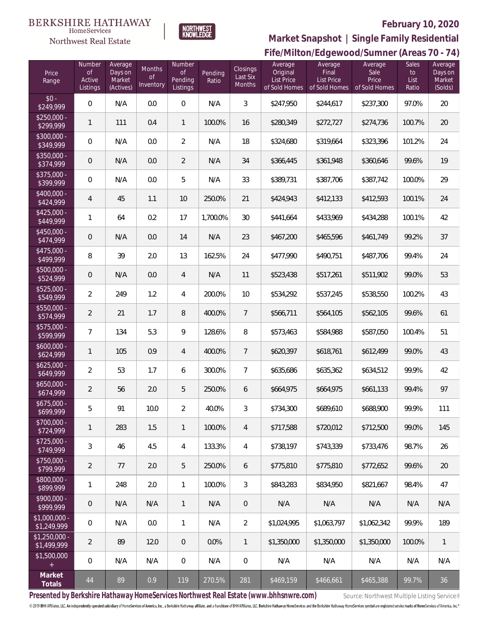#### **BERKSHIRE HATHAWAY** HomeServices





# **February 10, 2020**

**Fife/Milton/Edgewood/Sumner (Areas 70 - 74) Market Snapshot | Single Family Residential**

| Price<br>Range                | Number<br><b>of</b><br>Active<br>Listings | Average<br>Days on<br>Market<br>(Actives) | Months<br><b>of</b><br>Inventory | Number<br><b>of</b><br>Pending<br>Listings | Pending<br>Ratio | Closings<br>Last Six<br>Months | Average<br>Original<br><b>List Price</b><br>of Sold Homes | Average<br>Final<br><b>List Price</b><br>of Sold Homes | Average<br>Sale<br>Price<br>of Sold Homes | Sales<br>to<br>List<br>Ratio | Average<br>Days on<br>Market<br>(Solds) |
|-------------------------------|-------------------------------------------|-------------------------------------------|----------------------------------|--------------------------------------------|------------------|--------------------------------|-----------------------------------------------------------|--------------------------------------------------------|-------------------------------------------|------------------------------|-----------------------------------------|
| $$0 -$<br>\$249,999           | $\Omega$                                  | N/A                                       | 0.0                              | $\Omega$                                   | N/A              | 3                              | \$247,950                                                 | \$244,617                                              | \$237,300                                 | 97.0%                        | 20                                      |
| $$250,000 -$<br>\$299,999     | $\mathbf{1}$                              | 111                                       | 0.4                              | $\mathbf{1}$                               | 100.0%           | 16                             | \$280,349                                                 | \$272,727                                              | \$274,736                                 | 100.7%                       | 20                                      |
| $$300,000 -$<br>\$349,999     | $\overline{0}$                            | N/A                                       | 0.0                              | $\overline{2}$                             | N/A              | 18                             | \$324,680                                                 | \$319,664                                              | \$323,396                                 | 101.2%                       | 24                                      |
| $$350,000 -$<br>\$374,999     | $\overline{0}$                            | N/A                                       | 0.0                              | $\overline{2}$                             | N/A              | 34                             | \$366,445                                                 | \$361,948                                              | \$360,646                                 | 99.6%                        | 19                                      |
| $$375,000 -$<br>\$399,999     | 0                                         | N/A                                       | 0.0                              | 5                                          | N/A              | 33                             | \$389,731                                                 | \$387,706                                              | \$387,742                                 | 100.0%                       | 29                                      |
| $$400,000 -$<br>\$424,999     | $\overline{4}$                            | 45                                        | 1.1                              | 10                                         | 250.0%           | 21                             | \$424,943                                                 | \$412,133                                              | \$412,593                                 | 100.1%                       | 24                                      |
| $$425,000 -$<br>\$449,999     | $\mathbf{1}$                              | 64                                        | 0.2                              | 17                                         | 1,700.0%         | 30                             | \$441,664                                                 | \$433,969                                              | \$434,288                                 | 100.1%                       | 42                                      |
| $$450,000 -$<br>\$474,999     | $\mathbf 0$                               | N/A                                       | 0.0                              | 14                                         | N/A              | 23                             | \$467,200                                                 | \$465,596                                              | \$461,749                                 | 99.2%                        | 37                                      |
| $$475,000 -$<br>\$499,999     | 8                                         | 39                                        | 2.0                              | 13                                         | 162.5%           | 24                             | \$477,990                                                 | \$490,751                                              | \$487,706                                 | 99.4%                        | 24                                      |
| \$500,000 -<br>\$524,999      | $\mathbf 0$                               | N/A                                       | 0.0                              | $\overline{4}$                             | N/A              | 11                             | \$523,438                                                 | \$517,261                                              | \$511,902                                 | 99.0%                        | 53                                      |
| $$525,000 -$<br>\$549,999     | $\overline{2}$                            | 249                                       | 1.2                              | $\overline{4}$                             | 200.0%           | 10                             | \$534,292                                                 | \$537,245                                              | \$538,550                                 | 100.2%                       | 43                                      |
| $$550,000 -$<br>\$574,999     | $\overline{2}$                            | 21                                        | 1.7                              | 8                                          | 400.0%           | $\overline{7}$                 | \$566,711                                                 | \$564,105                                              | \$562,105                                 | 99.6%                        | 61                                      |
| $$575,000 -$<br>\$599,999     | $\overline{7}$                            | 134                                       | 5.3                              | $\overline{9}$                             | 128.6%           | $\, 8$                         | \$573,463                                                 | \$584,988                                              | \$587,050                                 | 100.4%                       | 51                                      |
| $$600,000 -$<br>\$624,999     | $\mathbf{1}$                              | 105                                       | 0.9                              | $\overline{4}$                             | 400.0%           | $\overline{7}$                 | \$620,397                                                 | \$618,761                                              | \$612,499                                 | 99.0%                        | 43                                      |
| $$625,000 -$<br>\$649,999     | $\overline{2}$                            | 53                                        | 1.7                              | 6                                          | 300.0%           | $\overline{7}$                 | \$635,686                                                 | \$635,362                                              | \$634,512                                 | 99.9%                        | 42                                      |
| $$650,000 -$<br>\$674,999     | $\overline{2}$                            | 56                                        | 2.0                              | 5                                          | 250.0%           | 6                              | \$664,975                                                 | \$664,975                                              | \$661,133                                 | 99.4%                        | 97                                      |
| $$675,000 -$<br>\$699,999     | 5                                         | 91                                        | 10.0                             | $\overline{2}$                             | 40.0%            | 3                              | \$734,300                                                 | \$689,610                                              | \$688,900                                 | 99.9%                        | 111                                     |
| $$700,000 -$<br>\$724,999     | $\mathbf{1}$                              | 283                                       | 1.5                              | $\mathbf{1}$                               | 100.0%           | $\overline{4}$                 | \$717,588                                                 | \$720,012                                              | \$712,500                                 | 99.0%                        | 145                                     |
| $$725,000 -$<br>\$749,999     | $\mathfrak{Z}$                            | 46                                        | 4.5                              | $\overline{4}$                             | 133.3%           | 4                              | \$738,197                                                 | \$743,339                                              | \$733,476                                 | 98.7%                        | 26                                      |
| $$750,000 -$<br>\$799,999     | $\overline{2}$                            | 77                                        | 2.0                              | 5                                          | 250.0%           | 6                              | \$775,810                                                 | \$775,810                                              | \$772,652                                 | 99.6%                        | $20\,$                                  |
| $$800,000 -$<br>\$899,999     | 1                                         | 248                                       | 2.0                              | $\mathbf{1}$                               | 100.0%           | 3                              | \$843,283                                                 | \$834,950                                              | \$821,667                                 | 98.4%                        | 47                                      |
| $$900,000 -$<br>\$999,999     | $\mathsf{O}\xspace$                       | N/A                                       | N/A                              | $\mathbf{1}$                               | N/A              | $\theta$                       | N/A                                                       | N/A                                                    | N/A                                       | N/A                          | N/A                                     |
| $$1,000,000 -$<br>\$1,249,999 | $\boldsymbol{0}$                          | N/A                                       | 0.0                              | $\mathbf{1}$                               | N/A              | $\overline{2}$                 | \$1,024,995                                               | \$1,063,797                                            | \$1,062,342                               | 99.9%                        | 189                                     |
| $$1,250,000$ -<br>\$1,499,999 | $\overline{2}$                            | 89                                        | 12.0                             | $\,0\,$                                    | 0.0%             | 1                              | \$1,350,000                                               | \$1,350,000                                            | \$1,350,000                               | 100.0%                       | $\overline{1}$                          |
| \$1,500,000<br>$\pm$          | $\boldsymbol{0}$                          | N/A                                       | N/A                              | $\,0\,$                                    | N/A              | $\boldsymbol{0}$               | N/A                                                       | N/A                                                    | N/A                                       | N/A                          | N/A                                     |
| Market<br>Totals              | 44                                        | 89                                        | 0.9                              | 119                                        | 270.5%           | 281                            | \$469,159                                                 | \$466,661                                              | \$465,388                                 | 99.7%                        | 36                                      |

Presented by Berkshire Hathaway HomeServices Northwest Real Estate (www.bhhsnwre.com) Source: Northwest Multiple Listing Service®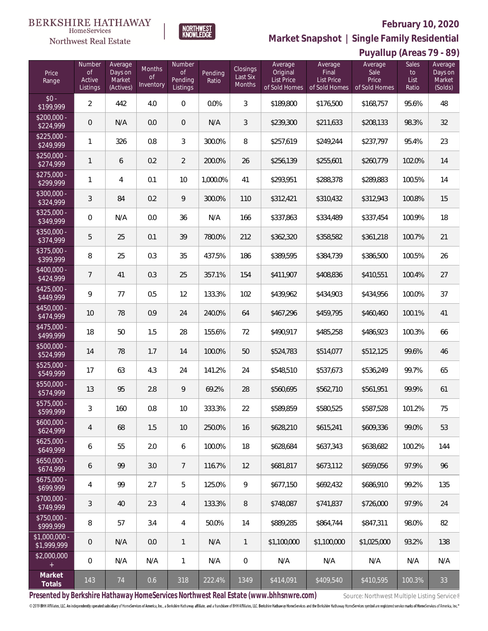### **February 10, 2020**



**Market Snapshot | Single Family Residential**

 $\label{lem:sevices} \textsc{Home} \textsc{Service} \textsc{s}$ Northwest Real Estate

|                               | Puyallup (Areas 79 - 89)           |                                           |                                  |                                            |                  |                                |                                                    |                                                        |                                           |                                     |                                         |
|-------------------------------|------------------------------------|-------------------------------------------|----------------------------------|--------------------------------------------|------------------|--------------------------------|----------------------------------------------------|--------------------------------------------------------|-------------------------------------------|-------------------------------------|-----------------------------------------|
| Price<br>Range                | Number<br>Οf<br>Active<br>Listings | Average<br>Days on<br>Market<br>(Actives) | Months<br><b>of</b><br>Inventory | Number<br><b>of</b><br>Pending<br>Listings | Pending<br>Ratio | Closings<br>Last Six<br>Months | Average<br>Original<br>List Price<br>of Sold Homes | Average<br>Final<br><b>List Price</b><br>of Sold Homes | Average<br>Sale<br>Price<br>of Sold Homes | <b>Sales</b><br>to<br>List<br>Ratio | Average<br>Days on<br>Market<br>(Solds) |
| $$0 -$<br>\$199,999           | $\overline{2}$                     | 442                                       | 4.0                              | $\mathbf 0$                                | 0.0%             | $\mathfrak{Z}$                 | \$189,800                                          | \$176,500                                              | \$168,757                                 | 95.6%                               | 48                                      |
| $$200,000 -$<br>\$224,999     | $\mathsf{O}\xspace$                | N/A                                       | 0.0                              | $\overline{0}$                             | N/A              | 3                              | \$239,300                                          | \$211,633                                              | \$208,133                                 | 98.3%                               | 32                                      |
| $$225,000 -$<br>\$249,999     | 1                                  | 326                                       | 0.8                              | 3                                          | 300.0%           | 8                              | \$257,619                                          | \$249,244                                              | \$237,797                                 | 95.4%                               | 23                                      |
| $$250,000 -$<br>\$274,999     | $\mathbf{1}$                       | 6                                         | 0.2                              | $\overline{2}$                             | 200.0%           | 26                             | \$256,139                                          | \$255,601                                              | \$260,779                                 | 102.0%                              | 14                                      |
| $$275,000 -$<br>\$299,999     | 1                                  | 4                                         | 0.1                              | 10                                         | 1,000.0%         | 41                             | \$293,951                                          | \$288,378                                              | \$289,883                                 | 100.5%                              | 14                                      |
| $$300,000 -$<br>\$324,999     | $\sqrt{3}$                         | 84                                        | 0.2                              | 9                                          | 300.0%           | 110                            | \$312,421                                          | \$310,432                                              | \$312,943                                 | 100.8%                              | 15                                      |
| \$325,000 -<br>\$349,999      | 0                                  | N/A                                       | 0.0                              | 36                                         | N/A              | 166                            | \$337,863                                          | \$334,489                                              | \$337,454                                 | 100.9%                              | 18                                      |
| $$350,000 -$<br>\$374,999     | 5                                  | 25                                        | 0.1                              | 39                                         | 780.0%           | 212                            | \$362,320                                          | \$358,582                                              | \$361,218                                 | 100.7%                              | 21                                      |
| $$375,000 -$<br>\$399,999     | 8                                  | 25                                        | 0.3                              | 35                                         | 437.5%           | 186                            | \$389,595                                          | \$384,739                                              | \$386,500                                 | 100.5%                              | 26                                      |
| $$400,000 -$<br>\$424,999     | 7                                  | 41                                        | 0.3                              | 25                                         | 357.1%           | 154                            | \$411,907                                          | \$408,836                                              | \$410,551                                 | 100.4%                              | 27                                      |
| $$425,000 -$<br>\$449,999     | 9                                  | 77                                        | 0.5                              | 12                                         | 133.3%           | 102                            | \$439,962                                          | \$434,903                                              | \$434,956                                 | 100.0%                              | 37                                      |
| $$450,000 -$<br>\$474,999     | 10                                 | 78                                        | 0.9                              | 24                                         | 240.0%           | 64                             | \$467,296                                          | \$459,795                                              | \$460,460                                 | 100.1%                              | 41                                      |
| $$475,000 -$<br>\$499,999     | 18                                 | 50                                        | 1.5                              | 28                                         | 155.6%           | 72                             | \$490,917                                          | \$485,258                                              | \$486,923                                 | 100.3%                              | 66                                      |
| $$500,000 -$<br>\$524,999     | 14                                 | 78                                        | 1.7                              | 14                                         | 100.0%           | 50                             | \$524,783                                          | \$514,077                                              | \$512,125                                 | 99.6%                               | 46                                      |
| $$525,000 -$<br>\$549,999     | 17                                 | 63                                        | 4.3                              | 24                                         | 141.2%           | 24                             | \$548,510                                          | \$537,673                                              | \$536,249                                 | 99.7%                               | 65                                      |
| $$550,000 -$<br>\$574,999     | 13                                 | 95                                        | 2.8                              | 9                                          | 69.2%            | 28                             | \$560,695                                          | \$562,710                                              | \$561,951                                 | 99.9%                               | 61                                      |
| \$575,000 -<br>\$599.999      | 3                                  | 160                                       | 0.8                              | 10                                         | 333.3%           | 22                             | \$589,859                                          | \$580,525                                              | \$587,528                                 | 101.2%                              | 75                                      |
| $$600,000 -$<br>\$624,999     | 4                                  | 68                                        | 1.5                              | 10                                         | 250.0%           | 16                             | \$628,210                                          | \$615,241                                              | \$609,336                                 | 99.0%                               | 53                                      |
| $$625,000 -$<br>\$649,999     | 6                                  | 55                                        | 2.0                              | 6                                          | 100.0%           | 18                             | \$628,684                                          | \$637,343                                              | \$638,682                                 | 100.2%                              | 144                                     |
| $$650.000 -$<br>\$674,999     | 6                                  | 99                                        | 3.0                              | $\overline{7}$                             | 116.7%           | 12                             | \$681,817                                          | \$673,112                                              | \$659,056                                 | 97.9%                               | 96                                      |
| $$675.000 -$<br>\$699,999     | 4                                  | 99                                        | 2.7                              | 5                                          | 125.0%           | 9                              | \$677,150                                          | \$692,432                                              | \$686,910                                 | 99.2%                               | 135                                     |
| $$700,000 -$<br>\$749,999     | 3                                  | 40                                        | 2.3                              | $\overline{4}$                             | 133.3%           | 8                              | \$748,087                                          | \$741,837                                              | \$726.000                                 | 97.9%                               | 24                                      |
| $$750,000 -$<br>\$999,999     | 8                                  | 57                                        | 3.4                              | $\overline{4}$                             | 50.0%            | 14                             | \$889,285                                          | \$864,744                                              | \$847,311                                 | 98.0%                               | 82                                      |
| $$1,000,000 -$<br>\$1,999,999 | $\overline{0}$                     | N/A                                       | 0.0                              | $\mathbf{1}$                               | N/A              | $\mathbf{1}$                   | \$1,100,000                                        | \$1,100,000                                            | \$1,025,000                               | 93.2%                               | 138                                     |
| \$2,000,000<br>$+$            | 0                                  | N/A                                       | N/A                              | $\mathbf{1}$                               | N/A              | $\mathbf{0}$                   | N/A                                                | N/A                                                    | N/A                                       | N/A                                 | N/A                                     |
| Market<br>Totals              | 143                                | 74                                        | 0.6                              | 318                                        | 222.4%           | 1349                           | \$414,091                                          | \$409,540                                              | \$410,595                                 | 100.3%                              | 33                                      |

Presented by Berkshire Hathaway HomeServices Northwest Real Estate (www.bhhsnwre.com) Source: Northwest Multiple Listing Service®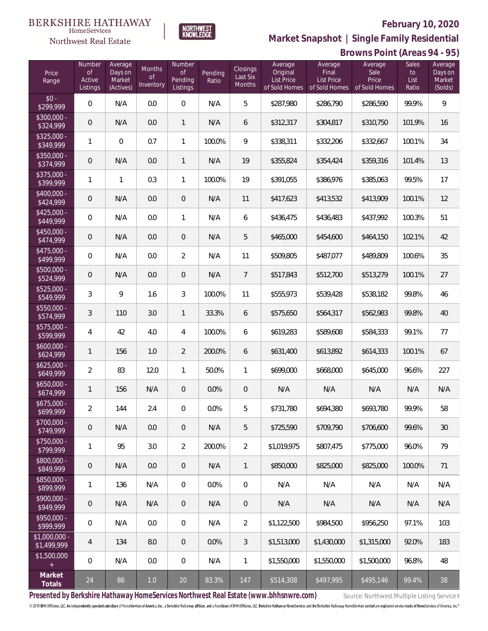### **February 10, 2020**



**Market Snapshot | Single Family Residential**

#### HomeServices Northwest Real Estate

**BERKSHIRE HATHAWAY** 

| Price<br>Range                | Number<br><b>of</b><br>Active<br>Listings | Average<br>Days on<br>Market<br>(Actives) | <b>Months</b><br><b>of</b><br>Inventory | Number<br><b>of</b><br>Pending<br>Listings | Pending<br>Ratio | Closings<br>Last Six<br>Months | Average<br>Original<br><b>List Price</b><br>of Sold Homes | Average<br>Final<br>List Price<br>of Sold Homes | Average<br>Sale<br>Price<br>of Sold Homes | Sales<br>to<br>List<br>Ratio | Average<br>Days on<br>Market<br>(Solds) |
|-------------------------------|-------------------------------------------|-------------------------------------------|-----------------------------------------|--------------------------------------------|------------------|--------------------------------|-----------------------------------------------------------|-------------------------------------------------|-------------------------------------------|------------------------------|-----------------------------------------|
| $$0 -$<br>\$299,999           | $\Omega$                                  | N/A                                       | 0.0                                     | $\mathbf{0}$                               | N/A              | 5                              | \$287,980                                                 | \$286,790                                       | \$286,590                                 | 99.9%                        | $\mathsf{Q}$                            |
| $$300,000 -$<br>\$324,999     | $\overline{0}$                            | N/A                                       | 0.0                                     | $\mathbf{1}$                               | N/A              | 6                              | \$312,317                                                 | \$304,817                                       | \$310,750                                 | 101.9%                       | 16                                      |
| \$325,000 -<br>\$349,999      | $\mathbf{1}$                              | $\overline{0}$                            | 0.7                                     | $\mathbf{1}$                               | 100.0%           | 9                              | \$338,311                                                 | \$332,206                                       | \$332,667                                 | 100.1%                       | 34                                      |
| $$350,000 -$<br>\$374,999     | $\overline{0}$                            | N/A                                       | 0.0                                     | $\mathbf{1}$                               | N/A              | 19                             | \$355,824                                                 | \$354,424                                       | \$359,316                                 | 101.4%                       | 13                                      |
| $$375,000 -$<br>\$399,999     | 1                                         | 1                                         | 0.3                                     | $\mathbf{1}$                               | 100.0%           | 19                             | \$391,055                                                 | \$386,976                                       | \$385,063                                 | 99.5%                        | 17                                      |
| $$400,000 -$<br>\$424,999     | $\overline{0}$                            | N/A                                       | 0.0                                     | $\overline{0}$                             | N/A              | 11                             | \$417,623                                                 | \$413,532                                       | \$413,909                                 | 100.1%                       | 12                                      |
| $$425,000 -$<br>\$449,999     | $\overline{0}$                            | N/A                                       | 0.0                                     | $\mathbf{1}$                               | N/A              | 6                              | \$436,475                                                 | \$436,483                                       | \$437,992                                 | 100.3%                       | 51                                      |
| $$450,000 -$<br>\$474,999     | $\overline{0}$                            | N/A                                       | 0.0                                     | $\overline{0}$                             | N/A              | 5                              | \$465,000                                                 | \$454,600                                       | \$464,150                                 | 102.1%                       | 42                                      |
| $$475,000 -$<br>\$499,999     | $\overline{0}$                            | N/A                                       | 0.0                                     | $\overline{2}$                             | N/A              | 11                             | \$509,805                                                 | \$487,077                                       | \$489,809                                 | 100.6%                       | 35                                      |
| $$500,000 -$<br>\$524,999     | $\overline{0}$                            | N/A                                       | 0.0                                     | $\overline{0}$                             | N/A              | $7\overline{ }$                | \$517,843                                                 | \$512,700                                       | \$513,279                                 | 100.1%                       | 27                                      |
| $$525,000 -$<br>\$549,999     | $\mathfrak{Z}$                            | 9                                         | 1.6                                     | 3                                          | 100.0%           | 11                             | \$555,973                                                 | \$539,428                                       | \$538,182                                 | 99.8%                        | 46                                      |
| $$550,000 -$<br>\$574,999     | $\mathfrak{Z}$                            | 110                                       | 3.0                                     | 1                                          | 33.3%            | 6                              | \$575,650                                                 | \$564,317                                       | \$562,983                                 | 99.8%                        | 40                                      |
| $$575,000 -$<br>\$599,999     | 4                                         | 42                                        | 4.0                                     | $\overline{4}$                             | 100.0%           | 6                              | \$619,283                                                 | \$589,608                                       | \$584,333                                 | 99.1%                        | 77                                      |
| $$600,000 -$<br>\$624,999     | 1                                         | 156                                       | 1.0                                     | 2                                          | 200.0%           | 6                              | \$631,400                                                 | \$613,892                                       | \$614,333                                 | 100.1%                       | 67                                      |
| $$625,000 -$<br>\$649,999     | $\overline{2}$                            | 83                                        | 12.0                                    | $\mathbf{1}$                               | 50.0%            | $\mathbf{1}$                   | \$699,000                                                 | \$668,000                                       | \$645,000                                 | 96.6%                        | 227                                     |
| $$650,000 -$<br>\$674,999     | 1                                         | 156                                       | N/A                                     | $\mathbf 0$                                | 0.0%             | $\boldsymbol{0}$               | N/A                                                       | N/A                                             | N/A                                       | N/A                          | N/A                                     |
| $$675,000 -$<br>\$699,999     | $\overline{2}$                            | 144                                       | 2.4                                     | $\mathbf 0$                                | 0.0%             | 5                              | \$731,780                                                 | \$694,380                                       | \$693,780                                 | 99.9%                        | 58                                      |
| \$700,000 -<br>\$749,999      | $\mathbf 0$                               | N/A                                       | 0.0                                     | $\mathbf 0$                                | N/A              | 5                              | \$725,590                                                 | \$709,790                                       | \$706,600                                 | 99.6%                        | 30                                      |
| \$750,000 -<br>\$799,999      | $\mathbf{1}$                              | 95                                        | 3.0                                     | $\overline{2}$                             | 200.0%           | $\overline{2}$                 | \$1,019,975                                               | \$807,475                                       | \$775,000                                 | 96.0%                        | 79                                      |
| \$800,000 -<br>\$849,999      | $\mathsf{O}\xspace$                       | N/A                                       | 0.0                                     | $\sqrt{0}$                                 | N/A              | $\mathbf{1}$                   | \$850,000                                                 | \$825,000                                       | \$825,000                                 | 100.0%                       | 71                                      |
| $$850,000 -$<br>\$899,999     | 1                                         | 136                                       | N/A                                     | $\overline{0}$                             | 0.0%             | $\,0\,$                        | N/A                                                       | N/A                                             | N/A                                       | N/A                          | N/A                                     |
| \$900,000 -<br>\$949,999      | $\mathsf{O}\xspace$                       | N/A                                       | N/A                                     | $\sqrt{0}$                                 | N/A              | $\boldsymbol{0}$               | N/A                                                       | N/A                                             | N/A                                       | N/A                          | N/A                                     |
| \$950,000 -<br>\$999,999      | 0                                         | N/A                                       | 0.0                                     | $\overline{0}$                             | N/A              | $\overline{2}$                 | \$1,122,500                                               | \$984,500                                       | \$956,250                                 | 97.1%                        | 103                                     |
| $$1,000,000 -$<br>\$1,499,999 | 4                                         | 134                                       | 8.0                                     | $\sqrt{0}$                                 | 0.0%             | 3                              | \$1,513,000                                               | \$1,430,000                                     | \$1,315,000                               | 92.0%                        | 183                                     |
| \$1,500,000<br>$\pm$          | $\overline{0}$                            | N/A                                       | 0.0                                     | $\overline{0}$                             | N/A              | $\mathbf{1}$                   | \$1,550,000                                               | \$1,550,000                                     | \$1,500,000                               | 96.8%                        | 48                                      |
| Market<br>Totals              | 24                                        | 86                                        | $1.0$                                   | 20                                         | 83.3%            | 147                            | \$514,308                                                 | \$497,995                                       | \$495,146                                 | 99.4%                        | 38                                      |

Presented by Berkshire Hathaway HomeServices Northwest Real Estate (www.bhhsnwre.com) Source: Northwest Multiple Listing Service®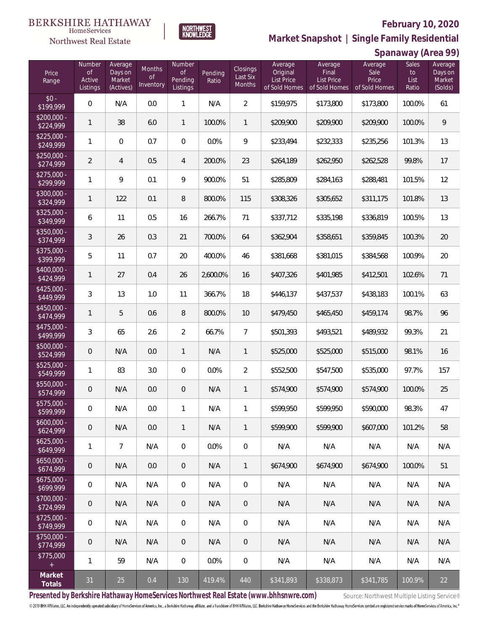### **February 10, 2020**

**Spanaway (Area 99)**



**Market Snapshot | Single Family Residential**

#### **BERKSHIRE HATHAWAY**  $\label{lem:sevices} \textsc{Home} \textsc{Service} \textsc{s}$ Northwest Real Estate

| Price<br>Range            | Number<br><b>of</b><br>Active<br>Listings | Average<br>Days on<br>Market<br>(Actives) | <b>Months</b><br>$\circ f$<br>Inventory | Number<br>$\mathsf{of}$<br>Pending<br>Listings | Pending<br>Ratio | Closings<br>Last Six<br>Months | Average<br>Original<br>List Price<br>of Sold Homes | Average<br>Final<br><b>List Price</b><br>of Sold Homes | Average<br>Sale<br>Price<br>of Sold Homes | Sales<br>to<br>List<br>Ratio | Average<br>Days on<br>Market<br>(Solds) |
|---------------------------|-------------------------------------------|-------------------------------------------|-----------------------------------------|------------------------------------------------|------------------|--------------------------------|----------------------------------------------------|--------------------------------------------------------|-------------------------------------------|------------------------------|-----------------------------------------|
| $$0 -$<br>\$199,999       | 0                                         | N/A                                       | 0.0                                     | $\mathbf{1}$                                   | N/A              | $\overline{2}$                 | \$159,975                                          | \$173,800                                              | \$173,800                                 | 100.0%                       | 61                                      |
| $$200,000 -$<br>\$224,999 | 1                                         | 38                                        | 6.0                                     | $\mathbf{1}$                                   | 100.0%           | 1                              | \$209,900                                          | \$209,900                                              | \$209,900                                 | 100.0%                       | 9                                       |
| $$225,000 -$<br>\$249,999 | $\mathbf{1}$                              | 0                                         | 0.7                                     | $\overline{0}$                                 | 0.0%             | 9                              | \$233,494                                          | \$232,333                                              | \$235,256                                 | 101.3%                       | 13                                      |
| $$250,000 -$<br>\$274,999 | $\overline{2}$                            | 4                                         | 0.5                                     | $\overline{4}$                                 | 200.0%           | 23                             | \$264,189                                          | \$262,950                                              | \$262,528                                 | 99.8%                        | 17                                      |
| $$275,000 -$<br>\$299,999 | $\mathbf{1}$                              | 9                                         | 0.1                                     | 9                                              | 900.0%           | 51                             | \$285,809                                          | \$284,163                                              | \$288,481                                 | 101.5%                       | 12                                      |
| $$300,000 -$<br>\$324,999 | $\mathbf{1}$                              | 122                                       | 0.1                                     | $\, 8$                                         | 800.0%           | 115                            | \$308,326                                          | \$305,652                                              | \$311,175                                 | 101.8%                       | 13                                      |
| $$325,000 -$<br>\$349,999 | 6                                         | 11                                        | 0.5                                     | 16                                             | 266.7%           | 71                             | \$337,712                                          | \$335,198                                              | \$336,819                                 | 100.5%                       | 13                                      |
| $$350,000 -$<br>\$374,999 | 3                                         | 26                                        | 0.3                                     | 21                                             | 700.0%           | 64                             | \$362,904                                          | \$358,651                                              | \$359,845                                 | 100.3%                       | 20                                      |
| $$375,000 -$<br>\$399,999 | 5                                         | 11                                        | 0.7                                     | 20                                             | 400.0%           | 46                             | \$381,668                                          | \$381,015                                              | \$384,568                                 | 100.9%                       | 20                                      |
| \$400,000 -<br>\$424,999  | 1                                         | 27                                        | 0.4                                     | 26                                             | 2,600.0%         | 16                             | \$407,326                                          | \$401,985                                              | \$412,501                                 | 102.6%                       | 71                                      |
| $$425,000 -$<br>\$449,999 | 3                                         | 13                                        | 1.0                                     | 11                                             | 366.7%           | 18                             | \$446,137                                          | \$437,537                                              | \$438,183                                 | 100.1%                       | 63                                      |
| $$450,000 -$<br>\$474,999 | $\mathbf{1}$                              | 5                                         | 0.6                                     | 8                                              | 800.0%           | 10                             | \$479,450                                          | \$465,450                                              | \$459,174                                 | 98.7%                        | 96                                      |
| $$475,000 -$<br>\$499,999 | 3                                         | 65                                        | 2.6                                     | $\overline{2}$                                 | 66.7%            | $\overline{7}$                 | \$501,393                                          | \$493,521                                              | \$489,932                                 | 99.3%                        | 21                                      |
| $$500,000 -$<br>\$524,999 | $\mathbf 0$                               | N/A                                       | 0.0                                     | $\mathbf{1}$                                   | N/A              | $\mathbf{1}$                   | \$525,000                                          | \$525,000                                              | \$515,000                                 | 98.1%                        | 16                                      |
| $$525,000 -$<br>\$549,999 | 1                                         | 83                                        | 3.0                                     | $\overline{0}$                                 | 0.0%             | $\overline{2}$                 | \$552,500                                          | \$547,500                                              | \$535,000                                 | 97.7%                        | 157                                     |
| $$550,000 -$<br>\$574,999 | $\mathbf 0$                               | N/A                                       | 0.0                                     | $\overline{0}$                                 | N/A              | $\mathbf{1}$                   | \$574,900                                          | \$574,900                                              | \$574,900                                 | 100.0%                       | 25                                      |
| \$575,000 -<br>\$599,999  | $\mathbf 0$                               | N/A                                       | 0.0                                     | $\mathbf{1}$                                   | N/A              | 1                              | \$599,950                                          | \$599,950                                              | \$590,000                                 | 98.3%                        | 47                                      |
| $$600,000 -$<br>\$624,999 | $\mathbf 0$                               | N/A                                       | 0.0                                     | $\mathbf{1}$                                   | N/A              | $\mathbf{1}$                   | \$599,900                                          | \$599.900                                              | \$607,000                                 | 101.2%                       | 58                                      |
| $$625,000 -$<br>\$649,999 | $\mathbf{1}$                              | $\overline{7}$                            | N/A                                     | $\overline{0}$                                 | 0.0%             | $\mathbf 0$                    | N/A                                                | N/A                                                    | N/A                                       | N/A                          | N/A                                     |
| $$650,000 -$<br>\$674,999 | 0                                         | N/A                                       | 0.0                                     | $\overline{0}$                                 | N/A              | $\mathbf{1}$                   | \$674,900                                          | \$674,900                                              | \$674,900                                 | 100.0%                       | 51                                      |
| $$675,000 -$<br>\$699,999 | 0                                         | N/A                                       | N/A                                     | $\overline{0}$                                 | N/A              | $\mathbf 0$                    | N/A                                                | N/A                                                    | N/A                                       | N/A                          | N/A                                     |
| $$700,000 -$<br>\$724,999 | 0                                         | N/A                                       | N/A                                     | $\overline{0}$                                 | N/A              | $\overline{0}$                 | N/A                                                | N/A                                                    | N/A                                       | N/A                          | N/A                                     |
| $$725,000 -$<br>\$749,999 | 0                                         | N/A                                       | N/A                                     | $\,0\,$                                        | N/A              | $\mathbf 0$                    | N/A                                                | N/A                                                    | N/A                                       | N/A                          | N/A                                     |
| $$750,000 -$<br>\$774,999 | $\mathbf 0$                               | N/A                                       | N/A                                     | $\overline{0}$                                 | N/A              | $\overline{0}$                 | N/A                                                | N/A                                                    | N/A                                       | N/A                          | N/A                                     |
| \$775,000<br>$\pm$        | 1                                         | 59                                        | N/A                                     | $\,0\,$                                        | 0.0%             | $\mathbf 0$                    | N/A                                                | N/A                                                    | N/A                                       | N/A                          | N/A                                     |
| Market<br>Totals          | 31                                        | 25                                        | 0.4                                     | 130                                            | 419.4%           | 440                            | \$341,893                                          | \$338,873                                              | \$341,785                                 | 100.9%                       | 22                                      |

Presented by Berkshire Hathaway HomeServices Northwest Real Estate (www.bhhsnwre.com) Source: Northwest Multiple Listing Service®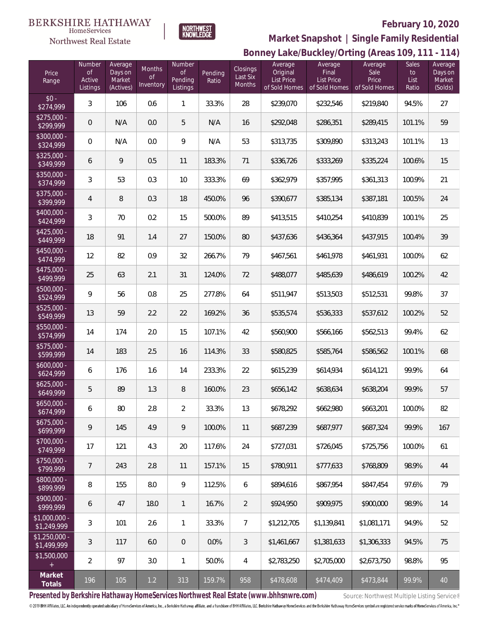# **BERKSHIRE HATHAWAY**



NORTHWEST<br>KNOWLEDGE

# **February 10, 2020**

# **Bonney Lake/Buckley/Orting (Areas 109, 111 - 114) Market Snapshot | Single Family Residential**

| Price<br>Range                | Number<br>$\circ f$<br>Active<br>Listings | Average<br>Days on<br>Market<br>(Actives) | Months<br>$\mathop{\rm of}$<br>Inventory | Number<br>$\mathop{\rm of}$<br>Pending<br>Listings | Pending<br>Ratio | Closings<br>Last Six<br>Months | Average<br>Original<br>List Price<br>of Sold Homes | Average<br>Final<br><b>List Price</b><br>of Sold Homes | Average<br>Sale<br>Price<br>of Sold Homes | Sales<br>to<br>List<br>Ratio | Average<br>Days on<br>Market<br>(Solds) |
|-------------------------------|-------------------------------------------|-------------------------------------------|------------------------------------------|----------------------------------------------------|------------------|--------------------------------|----------------------------------------------------|--------------------------------------------------------|-------------------------------------------|------------------------------|-----------------------------------------|
| $$0 -$<br>\$274,999           | 3                                         | 106                                       | 0.6                                      | 1                                                  | 33.3%            | 28                             | \$239,070                                          | \$232,546                                              | \$219,840                                 | 94.5%                        | 27                                      |
| $$275,000 -$<br>\$299,999     | 0                                         | N/A                                       | 0.0                                      | 5                                                  | N/A              | 16                             | \$292,048                                          | \$286,351                                              | \$289,415                                 | 101.1%                       | 59                                      |
| $$300,000 -$<br>\$324,999     | 0                                         | N/A                                       | 0.0                                      | $\mathcal{G}$                                      | N/A              | 53                             | \$313,735                                          | \$309,890                                              | \$313,243                                 | 101.1%                       | 13                                      |
| $$325,000 -$<br>\$349,999     | 6                                         | 9                                         | 0.5                                      | 11                                                 | 183.3%           | 71                             | \$336,726                                          | \$333,269                                              | \$335,224                                 | 100.6%                       | 15                                      |
| $$350,000 -$<br>\$374,999     | 3                                         | 53                                        | 0.3                                      | 10                                                 | 333.3%           | 69                             | \$362,979                                          | \$357,995                                              | \$361,313                                 | 100.9%                       | 21                                      |
| $$375,000 -$<br>\$399,999     | 4                                         | $\, 8$                                    | 0.3                                      | 18                                                 | 450.0%           | 96                             | \$390,677                                          | \$385,134                                              | \$387,181                                 | 100.5%                       | 24                                      |
| $$400,000 -$<br>\$424,999     | 3                                         | 70                                        | 0.2                                      | 15                                                 | 500.0%           | 89                             | \$413,515                                          | \$410,254                                              | \$410,839                                 | 100.1%                       | 25                                      |
| $$425,000 -$<br>\$449,999     | 18                                        | 91                                        | 1.4                                      | 27                                                 | 150.0%           | 80                             | \$437,636                                          | \$436,364                                              | \$437,915                                 | 100.4%                       | 39                                      |
| $$450,000 -$<br>\$474,999     | 12                                        | 82                                        | 0.9                                      | 32                                                 | 266.7%           | 79                             | \$467,561                                          | \$461,978                                              | \$461,931                                 | 100.0%                       | 62                                      |
| $$475,000 -$<br>\$499,999     | 25                                        | 63                                        | 2.1                                      | 31                                                 | 124.0%           | 72                             | \$488,077                                          | \$485,639                                              | \$486,619                                 | 100.2%                       | 42                                      |
| $$500,000 -$<br>\$524,999     | 9                                         | 56                                        | 0.8                                      | 25                                                 | 277.8%           | 64                             | \$511,947                                          | \$513,503                                              | \$512,531                                 | 99.8%                        | 37                                      |
| $$525,000 -$<br>\$549,999     | 13                                        | 59                                        | 2.2                                      | 22                                                 | 169.2%           | 36                             | \$535,574                                          | \$536,333                                              | \$537,612                                 | 100.2%                       | 52                                      |
| $$550,000 -$<br>\$574,999     | 14                                        | 174                                       | 2.0                                      | 15                                                 | 107.1%           | 42                             | \$560,900                                          | \$566,166                                              | \$562,513                                 | 99.4%                        | 62                                      |
| $$575,000 -$<br>\$599,999     | 14                                        | 183                                       | 2.5                                      | 16                                                 | 114.3%           | 33                             | \$580,825                                          | \$585,764                                              | \$586,562                                 | 100.1%                       | 68                                      |
| $$600,000 -$<br>\$624,999     | 6                                         | 176                                       | 1.6                                      | 14                                                 | 233.3%           | 22                             | \$615,239                                          | \$614,934                                              | \$614,121                                 | 99.9%                        | 64                                      |
| $$625,000 -$<br>\$649,999     | 5                                         | 89                                        | 1.3                                      | $\, 8$                                             | 160.0%           | 23                             | \$656,142                                          | \$638,634                                              | \$638,204                                 | 99.9%                        | 57                                      |
| $$650,000 -$<br>\$674,999     | 6                                         | $80\,$                                    | 2.8                                      | $\overline{2}$                                     | 33.3%            | 13                             | \$678,292                                          | \$662,980                                              | \$663,201                                 | 100.0%                       | 82                                      |
| $$675,000 -$<br>\$699,999     | 9                                         | 145                                       | 4.9                                      | 9                                                  | 100.0%           | 11                             | \$687,239                                          | \$687,977                                              | \$687,324                                 | 99.9%                        | 167                                     |
| $$700,000 -$<br>\$749,999     | 17                                        | 121                                       | 4.3                                      | 20                                                 | 117.6%           | 24                             | \$727,031                                          | \$726,045                                              | \$725,756                                 | 100.0%                       | 61                                      |
| $$750,000 -$<br>\$799,999     | 7                                         | 243                                       | 2.8                                      | 11                                                 | 157.1%           | 15                             | \$780,911                                          | \$777,633                                              | \$768,809                                 | 98.9%                        | 44                                      |
| $$800,000 -$<br>\$899,999     | 8                                         | 155                                       | 8.0                                      | 9                                                  | 112.5%           | 6                              | \$894,616                                          | \$867,954                                              | \$847,454                                 | 97.6%                        | 79                                      |
| $$900,000 -$<br>\$999,999     | 6                                         | 47                                        | 18.0                                     | $\mathbf{1}$                                       | 16.7%            | $\overline{2}$                 | \$924,950                                          | \$909,975                                              | \$900,000                                 | 98.9%                        | 14                                      |
| $$1,000,000 -$<br>\$1,249,999 | 3                                         | 101                                       | 2.6                                      | $\mathbf{1}$                                       | 33.3%            | $\overline{7}$                 | \$1,212,705                                        | \$1,139,841                                            | \$1,081,171                               | 94.9%                        | 52                                      |
| $$1,250,000 -$<br>\$1,499,999 | 3                                         | 117                                       | 6.0                                      | $\overline{0}$                                     | 0.0%             | 3                              | \$1,461,667                                        | \$1,381,633                                            | \$1,306,333                               | 94.5%                        | 75                                      |
| \$1,500,000                   | $\overline{2}$                            | 97                                        | 3.0                                      | $\mathbf{1}$                                       | 50.0%            | 4                              | \$2,783,250                                        | \$2,705,000                                            | \$2,673,750                               | 98.8%                        | 95                                      |
| Market<br>Totals              | 196                                       | 105                                       | 1.2                                      | 313                                                | 159.7%           | 958                            | \$478,608                                          | \$474,409                                              | \$473,844                                 | 99.9%                        | 40                                      |

Presented by Berkshire Hathaway HomeServices Northwest Real Estate (www.bhhsnwre.com) Source: Northwest Multiple Listing Service®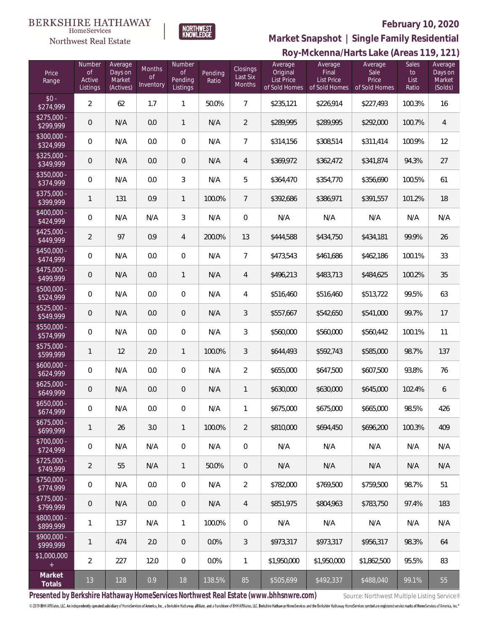#### **BERKSHIRE HATHAWAY**  $\label{lem:sevices} \textsc{Home} \textsc{Service} \textsc{s}$

# Northwest Real Estate

# **February 10, 2020**



### **Roy-Mckenna/Harts Lake (Areas 119, 121) Market Snapshot | Single Family Residential**

| Price<br>Range            | Number<br>Οf<br>Active<br>Listings | Average<br>Days on<br>Market<br>(Actives) | Months<br><b>of</b><br>Inventory | Number<br>0f<br>Pending<br>Listings | Pending<br>Ratio | <b>Closings</b><br>Last Six<br>Months | ┘<br>Average<br>Original<br><b>List Price</b><br>of Sold Homes | Average<br>Final<br>List Price<br>of Sold Homes | Average<br>Sale<br>Price<br>of Sold Homes | Sales<br>to<br>List<br>Ratio | Average<br>Days on<br>Market<br>(Solds) |
|---------------------------|------------------------------------|-------------------------------------------|----------------------------------|-------------------------------------|------------------|---------------------------------------|----------------------------------------------------------------|-------------------------------------------------|-------------------------------------------|------------------------------|-----------------------------------------|
| $$0 -$<br>\$274,999       | $\overline{2}$                     | 62                                        | 1.7                              | $\mathbf{1}$                        | 50.0%            | $\overline{7}$                        | \$235,121                                                      | \$226,914                                       | \$227,493                                 | 100.3%                       | 16                                      |
| $$275,000 -$<br>\$299,999 | $\mathsf{O}\xspace$                | N/A                                       | 0.0                              | 1                                   | N/A              | 2                                     | \$289,995                                                      | \$289,995                                       | \$292,000                                 | 100.7%                       | $\overline{4}$                          |
| $$300,000 -$<br>\$324,999 | 0                                  | N/A                                       | 0.0                              | $\mathbf 0$                         | N/A              | $\overline{7}$                        | \$314,156                                                      | \$308,514                                       | \$311,414                                 | 100.9%                       | 12                                      |
| $$325,000 -$<br>\$349,999 | $\mathsf{O}\xspace$                | N/A                                       | 0.0                              | $\overline{0}$                      | N/A              | $\overline{4}$                        | \$369,972                                                      | \$362,472                                       | \$341,874                                 | 94.3%                        | 27                                      |
| $$350,000 -$<br>\$374,999 | 0                                  | N/A                                       | 0.0                              | $\mathfrak{Z}$                      | N/A              | 5                                     | \$364,470                                                      | \$354,770                                       | \$356,690                                 | 100.5%                       | 61                                      |
| $$375,000 -$<br>\$399,999 | 1                                  | 131                                       | 0.9                              | 1                                   | 100.0%           | $\overline{7}$                        | \$392,686                                                      | \$386,971                                       | \$391,557                                 | 101.2%                       | 18                                      |
| $$400,000 -$<br>\$424,999 | 0                                  | N/A                                       | N/A                              | $\sqrt{3}$                          | N/A              | $\mathbf 0$                           | N/A                                                            | N/A                                             | N/A                                       | N/A                          | N/A                                     |
| $$425,000 -$<br>\$449,999 | $\overline{2}$                     | 97                                        | 0.9                              | 4                                   | 200.0%           | 13                                    | \$444,588                                                      | \$434,750                                       | \$434,181                                 | 99.9%                        | 26                                      |
| $$450,000 -$<br>\$474,999 | $\overline{0}$                     | N/A                                       | 0.0                              | $\boldsymbol{0}$                    | N/A              | 7                                     | \$473,543                                                      | \$461,686                                       | \$462,186                                 | 100.1%                       | 33                                      |
| $$475,000 -$<br>\$499,999 | $\mathsf{O}\xspace$                | N/A                                       | 0.0                              | 1                                   | N/A              | $\overline{4}$                        | \$496,213                                                      | \$483,713                                       | \$484,625                                 | 100.2%                       | 35                                      |
| \$500,000 -<br>\$524,999  | $\overline{0}$                     | N/A                                       | 0.0                              | $\boldsymbol{0}$                    | N/A              | 4                                     | \$516,460                                                      | \$516,460                                       | \$513,722                                 | 99.5%                        | 63                                      |
| $$525,000 -$<br>\$549,999 | $\mathsf{O}\xspace$                | N/A                                       | 0.0                              | $\mathbf 0$                         | N/A              | 3                                     | \$557,667                                                      | \$542,650                                       | \$541,000                                 | 99.7%                        | 17                                      |
| $$550,000 -$<br>\$574,999 | $\overline{0}$                     | N/A                                       | 0.0                              | $\boldsymbol{0}$                    | N/A              | 3                                     | \$560,000                                                      | \$560,000                                       | \$560,442                                 | 100.1%                       | 11                                      |
| $$575,000 -$<br>\$599,999 | 1                                  | 12                                        | 2.0                              | $\mathbf{1}$                        | 100.0%           | 3                                     | \$644,493                                                      | \$592,743                                       | \$585,000                                 | 98.7%                        | 137                                     |
| $$600,000 -$<br>\$624,999 | $\overline{0}$                     | N/A                                       | 0.0                              | $\boldsymbol{0}$                    | N/A              | $\overline{2}$                        | \$655,000                                                      | \$647,500                                       | \$607,500                                 | 93.8%                        | 76                                      |
| $$625,000 -$<br>\$649,999 | $\mathsf{O}\xspace$                | N/A                                       | 0.0                              | $\mathbf 0$                         | N/A              | $\mathbf{1}$                          | \$630,000                                                      | \$630,000                                       | \$645,000                                 | 102.4%                       | 6                                       |
| $$650,000 -$<br>\$674,999 | $\mathbf 0$                        | N/A                                       | 0.0                              | $\mathbf 0$                         | N/A              | 1                                     | \$675,000                                                      | \$675,000                                       | \$665,000                                 | 98.5%                        | 426                                     |
| $$675,000 -$<br>\$699,999 | 1                                  | 26                                        | 3.0                              | $\mathbf{1}$                        | 100.0%           | $\overline{2}$                        | \$810,000                                                      | \$694,450                                       | \$696,200                                 | 100.3%                       | 409                                     |
| $$700,000 -$<br>\$724,999 | $\mathbf 0$                        | N/A                                       | N/A                              | $\,0\,$                             | N/A              | $\boldsymbol{0}$                      | N/A                                                            | N/A                                             | N/A                                       | N/A                          | N/A                                     |
| $$725.000 -$<br>\$749,999 | $\overline{2}$                     | 55                                        | N/A                              | $\mathbf{1}$                        | 50.0%            | $\overline{0}$                        | N/A                                                            | N/A                                             | N/A                                       | N/A                          | N/A                                     |
| $$750,000 -$<br>\$774,999 | $\mathbf 0$                        | N/A                                       | 0.0                              | $\,0\,$                             | N/A              | $\overline{2}$                        | \$782,000                                                      | \$769,500                                       | \$759,500                                 | 98.7%                        | 51                                      |
| $$775,000 -$<br>\$799,999 | $\overline{0}$                     | N/A                                       | 0.0                              | $\overline{0}$                      | N/A              | $\overline{4}$                        | \$851,975                                                      | \$804.963                                       | \$783,750                                 | 97.4%                        | 183                                     |
| \$800,000 -<br>\$899,999  | 1                                  | 137                                       | N/A                              | $\mathbf{1}$                        | 100.0%           | $\boldsymbol{0}$                      | N/A                                                            | N/A                                             | N/A                                       | N/A                          | N/A                                     |
| $$900,000 -$<br>\$999,999 | 1                                  | 474                                       | 2.0                              | $\overline{0}$                      | 0.0%             | 3                                     | \$973,317                                                      | \$973,317                                       | \$956,317                                 | 98.3%                        | 64                                      |
| \$1,000,000<br>$+$        | $\overline{2}$                     | 227                                       | 12.0                             | $\,0\,$                             | 0.0%             | 1                                     | \$1,950,000                                                    | \$1,950,000                                     | \$1,862,500                               | 95.5%                        | 83                                      |
| Market<br>Totals          | 13                                 | 128                                       | 0.9                              | 18                                  | 138.5%           | 85                                    | \$505,699                                                      | \$492,337                                       | \$488,040                                 | 99.1%                        | 55                                      |

Presented by Berkshire Hathaway HomeServices Northwest Real Estate (www.bhhsnwre.com) Source: Northwest Multiple Listing Service®